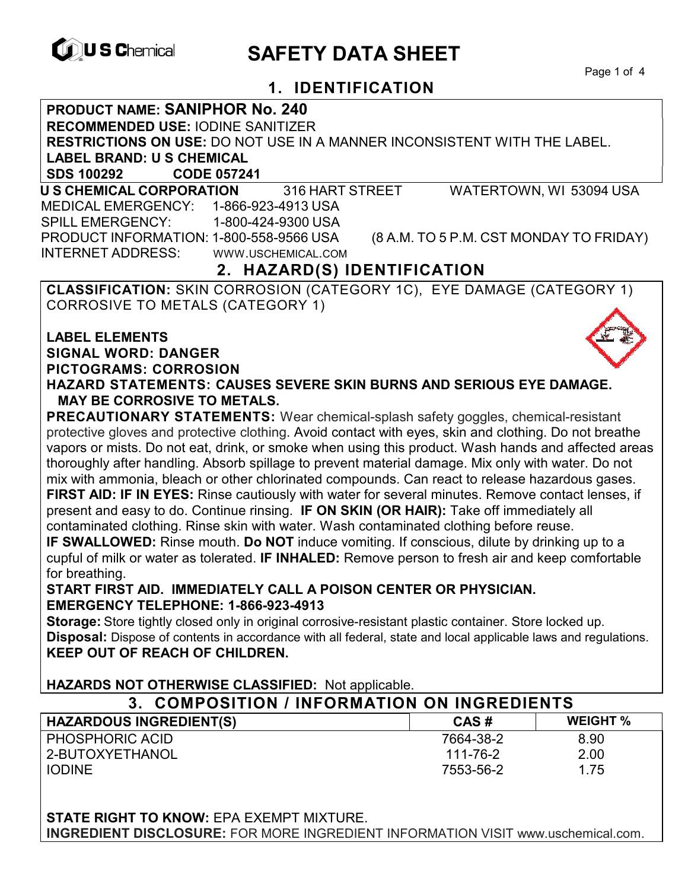

# **EXAGREM** SAFETY DATA SHEET

Page 1 of 4

## **1. IDENTIFICATION**

#### **PRODUCT NAME: SANIPHOR No. 240**

**RECOMMENDED USE:** IODINE SANITIZER

**RESTRICTIONS ON USE:** DO NOT USE IN A MANNER INCONSISTENT WITH THE LABEL.

**LABEL BRAND: U S CHEMICAL**

**SDS 100292 CODE 057241** 

 **U S CHEMICAL CORPORATION** 316 HART STREET WATERTOWN, WI 53094 USA MEDICAL EMERGENCY: 1-866-923-4913 USA SPILL EMERGENCY: 1-800-424-9300 USA PRODUCT INFORMATION: 1-800-558-9566 USA (8 A.M. TO 5 P.M. CST MONDAY TO FRIDAY) INTERNET ADDRESS: WWW.USCHEMICAL.COM

## **2. HAZARD(S) IDENTIFICATION**

**CLASSIFICATION:** SKIN CORROSION (CATEGORY 1C), EYE DAMAGE (CATEGORY 1) CORROSIVE TO METALS (CATEGORY 1)

## **LABEL ELEMENTS SIGNAL WORD: DANGER PICTOGRAMS: CORROSION**



**HAZARD STATEMENTS: CAUSES SEVERE SKIN BURNS AND SERIOUS EYE DAMAGE. MAY BE CORROSIVE TO METALS.** 

**PRECAUTIONARY STATEMENTS:** Wear chemical-splash safety goggles, chemical-resistant protective gloves and protective clothing. Avoid contact with eyes, skin and clothing. Do not breathe vapors or mists. Do not eat, drink, or smoke when using this product. Wash hands and affected areas thoroughly after handling. Absorb spillage to prevent material damage. Mix only with water. Do not mix with ammonia, bleach or other chlorinated compounds. Can react to release hazardous gases. **FIRST AID: IF IN EYES:** Rinse cautiously with water for several minutes. Remove contact lenses, if present and easy to do. Continue rinsing. **IF ON SKIN (OR HAIR):** Take off immediately all contaminated clothing. Rinse skin with water. Wash contaminated clothing before reuse.

**IF SWALLOWED:** Rinse mouth. **Do NOT** induce vomiting. If conscious, dilute by drinking up to a cupful of milk or water as tolerated. **IF INHALED:** Remove person to fresh air and keep comfortable for breathing.

#### **START FIRST AID. IMMEDIATELY CALL A POISON CENTER OR PHYSICIAN. EMERGENCY TELEPHONE: 1-866-923-4913**

**Storage:** Store tightly closed only in original corrosive-resistant plastic container. Store locked up. **Disposal:** Dispose of contents in accordance with all federal, state and local applicable laws and regulations. **KEEP OUT OF REACH OF CHILDREN.** 

**HAZARDS NOT OTHERWISE CLASSIFIED:** Not applicable.

| 3. COMPOSITION / INFORMATION ON INGREDIENTS |           |                 |
|---------------------------------------------|-----------|-----------------|
| <b>HAZARDOUS INGREDIENT(S)</b>              | CAS#      | <b>WEIGHT</b> % |
| PHOSPHORIC ACID                             | 7664-38-2 | 8.90            |
| 2-BUTOXYETHANOL                             | 111-76-2  | 2.00            |
| <b>IODINE</b>                               | 7553-56-2 | 1.75            |

**STATE RIGHT TO KNOW:** EPA EXEMPT MIXTURE. **INGREDIENT DISCLOSURE:** FOR MORE INGREDIENT INFORMATION VISIT www.uschemical.com.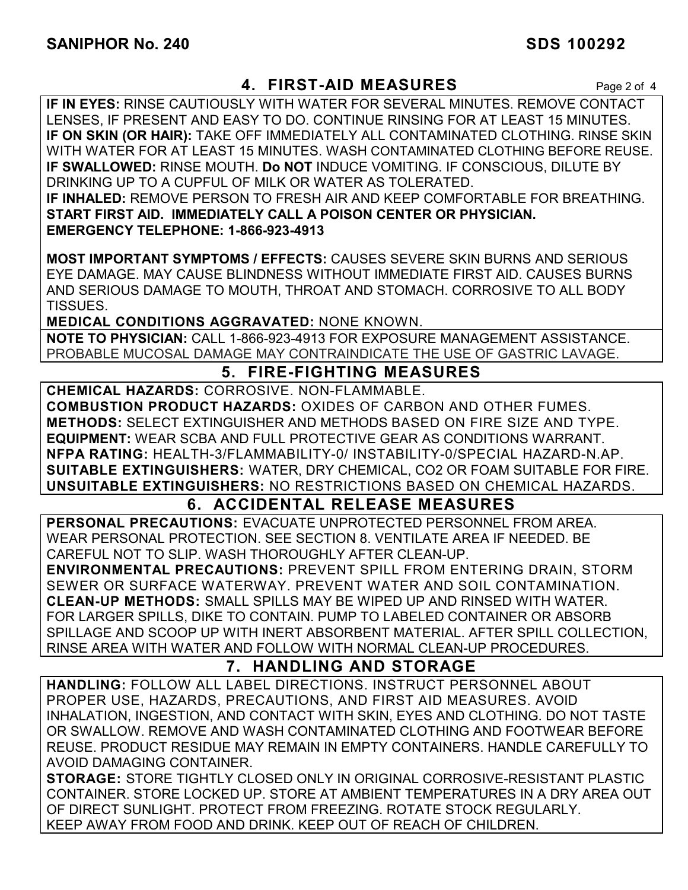## **4. FIRST-AID MEASURES** Page 2 of 4

**IF IN EYES:** RINSE CAUTIOUSLY WITH WATER FOR SEVERAL MINUTES. REMOVE CONTACT LENSES, IF PRESENT AND EASY TO DO. CONTINUE RINSING FOR AT LEAST 15 MINUTES. **IF ON SKIN (OR HAIR):** TAKE OFF IMMEDIATELY ALL CONTAMINATED CLOTHING. RINSE SKIN WITH WATER FOR AT LEAST 15 MINUTES. WASH CONTAMINATED CLOTHING BEFORE REUSE. **IF SWALLOWED:** RINSE MOUTH. **Do NOT** INDUCE VOMITING. IF CONSCIOUS, DILUTE BY DRINKING UP TO A CUPFUL OF MILK OR WATER AS TOLERATED. **IF INHALED:** REMOVE PERSON TO FRESH AIR AND KEEP COMFORTABLE FOR BREATHING. **START FIRST AID. IMMEDIATELY CALL A POISON CENTER OR PHYSICIAN. EMERGENCY TELEPHONE: 1-866-923-4913**

**MOST IMPORTANT SYMPTOMS / EFFECTS:** CAUSES SEVERE SKIN BURNS AND SERIOUS EYE DAMAGE. MAY CAUSE BLINDNESS WITHOUT IMMEDIATE FIRST AID. CAUSES BURNS AND SERIOUS DAMAGE TO MOUTH, THROAT AND STOMACH. CORROSIVE TO ALL BODY TISSUES.

**MEDICAL CONDITIONS AGGRAVATED:** NONE KNOWN.

**NOTE TO PHYSICIAN:** CALL 1-866-923-4913 FOR EXPOSURE MANAGEMENT ASSISTANCE. PROBABLE MUCOSAL DAMAGE MAY CONTRAINDICATE THE USE OF GASTRIC LAVAGE.

## **5. FIRE-FIGHTING MEASURES**

**CHEMICAL HAZARDS:** CORROSIVE. NON-FLAMMABLE. **COMBUSTION PRODUCT HAZARDS:** OXIDES OF CARBON AND OTHER FUMES. **METHODS:** SELECT EXTINGUISHER AND METHODS BASED ON FIRE SIZE AND TYPE. **EQUIPMENT:** WEAR SCBA AND FULL PROTECTIVE GEAR AS CONDITIONS WARRANT. **NFPA RATING:** HEALTH-3/FLAMMABILITY-0/ INSTABILITY-0/SPECIAL HAZARD-N.AP. **SUITABLE EXTINGUISHERS:** WATER, DRY CHEMICAL, CO2 OR FOAM SUITABLE FOR FIRE. **UNSUITABLE EXTINGUISHERS:** NO RESTRICTIONS BASED ON CHEMICAL HAZARDS.

## **6. ACCIDENTAL RELEASE MEASURES**

**PERSONAL PRECAUTIONS:** EVACUATE UNPROTECTED PERSONNEL FROM AREA. WEAR PERSONAL PROTECTION. SEE SECTION 8. VENTILATE AREA IF NEEDED. BE CAREFUL NOT TO SLIP. WASH THOROUGHLY AFTER CLEAN-UP.

**ENVIRONMENTAL PRECAUTIONS:** PREVENT SPILL FROM ENTERING DRAIN, STORM SEWER OR SURFACE WATERWAY. PREVENT WATER AND SOIL CONTAMINATION. **CLEAN-UP METHODS:** SMALL SPILLS MAY BE WIPED UP AND RINSED WITH WATER. FOR LARGER SPILLS, DIKE TO CONTAIN. PUMP TO LABELED CONTAINER OR ABSORB SPILLAGE AND SCOOP UP WITH INERT ABSORBENT MATERIAL. AFTER SPILL COLLECTION, RINSE AREA WITH WATER AND FOLLOW WITH NORMAL CLEAN-UP PROCEDURES.

## **7. HANDLING AND STORAGE**

**HANDLING:** FOLLOW ALL LABEL DIRECTIONS. INSTRUCT PERSONNEL ABOUT PROPER USE, HAZARDS, PRECAUTIONS, AND FIRST AID MEASURES. AVOID INHALATION, INGESTION, AND CONTACT WITH SKIN, EYES AND CLOTHING. DO NOT TASTE OR SWALLOW. REMOVE AND WASH CONTAMINATED CLOTHING AND FOOTWEAR BEFORE REUSE. PRODUCT RESIDUE MAY REMAIN IN EMPTY CONTAINERS. HANDLE CAREFULLY TO AVOID DAMAGING CONTAINER.

**STORAGE:** STORE TIGHTLY CLOSED ONLY IN ORIGINAL CORROSIVE-RESISTANT PLASTIC CONTAINER. STORE LOCKED UP. STORE AT AMBIENT TEMPERATURES IN A DRY AREA OUT OF DIRECT SUNLIGHT. PROTECT FROM FREEZING. ROTATE STOCK REGULARLY. KEEP AWAY FROM FOOD AND DRINK. KEEP OUT OF REACH OF CHILDREN.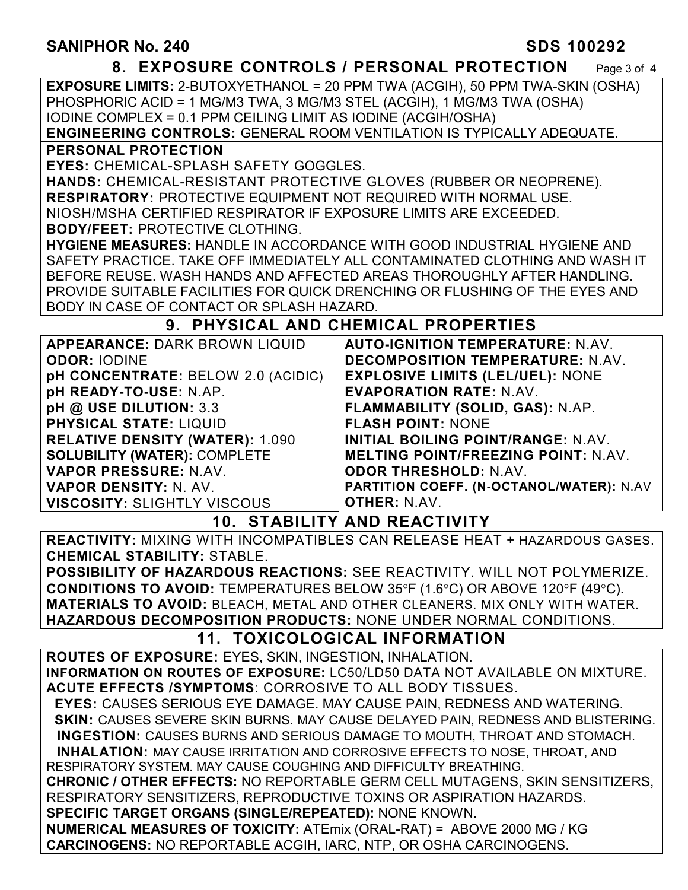#### **8. EXPOSURE CONTROLS / PERSONAL PROTECTION** Page 3 of 4

**EXPOSURE LIMITS:** 2-BUTOXYETHANOL = 20 PPM TWA (ACGIH), 50 PPM TWA-SKIN (OSHA) PHOSPHORIC ACID = 1 MG/M3 TWA, 3 MG/M3 STEL (ACGIH), 1 MG/M3 TWA (OSHA) IODINE COMPLEX = 0.1 PPM CEILING LIMIT AS IODINE (ACGIH/OSHA)

**ENGINEERING CONTROLS:** GENERAL ROOM VENTILATION IS TYPICALLY ADEQUATE.

#### **PERSONAL PROTECTION**

**EYES:** CHEMICAL-SPLASH SAFETY GOGGLES.

**HANDS:** CHEMICAL-RESISTANT PROTECTIVE GLOVES (RUBBER OR NEOPRENE). **RESPIRATORY:** PROTECTIVE EQUIPMENT NOT REQUIRED WITH NORMAL USE. NIOSH/MSHA CERTIFIED RESPIRATOR IF EXPOSURE LIMITS ARE EXCEEDED.

**BODY/FEET:** PROTECTIVE CLOTHING.

**HYGIENE MEASURES:** HANDLE IN ACCORDANCE WITH GOOD INDUSTRIAL HYGIENE AND SAFETY PRACTICE. TAKE OFF IMMEDIATELY ALL CONTAMINATED CLOTHING AND WASH IT BEFORE REUSE. WASH HANDS AND AFFECTED AREAS THOROUGHLY AFTER HANDLING. PROVIDE SUITABLE FACILITIES FOR QUICK DRENCHING OR FLUSHING OF THE EYES AND BODY IN CASE OF CONTACT OR SPLASH HAZARD.

## **9. PHYSICAL AND CHEMICAL PROPERTIES**

| <b>AUTO-IGNITION TEMPERATURE: N.AV.</b>    |
|--------------------------------------------|
| <b>DECOMPOSITION TEMPERATURE: N.AV.</b>    |
| <b>EXPLOSIVE LIMITS (LEL/UEL): NONE</b>    |
| <b>EVAPORATION RATE: N.AV.</b>             |
| FLAMMABILITY (SOLID, GAS): N.AP.           |
| <b>FLASH POINT: NONE</b>                   |
| <b>INITIAL BOILING POINT/RANGE: N.AV.</b>  |
| <b>MELTING POINT/FREEZING POINT: N.AV.</b> |
| <b>ODOR THRESHOLD: N.AV.</b>               |
| PARTITION COEFF. (N-OCTANOL/WATER): N.AV   |
| <b>OTHER: N.AV.</b>                        |
|                                            |

**10. STABILITY AND REACTIVITY** 

**REACTIVITY:** MIXING WITH INCOMPATIBLES CAN RELEASE HEAT + HAZARDOUS GASES. **CHEMICAL STABILITY:** STABLE.

**POSSIBILITY OF HAZARDOUS REACTIONS:** SEE REACTIVITY. WILL NOT POLYMERIZE. **CONDITIONS TO AVOID:** TEMPERATURES BELOW 35°F (1.6°C) OR ABOVE 120°F (49°C). **MATERIALS TO AVOID:** BLEACH, METAL AND OTHER CLEANERS. MIX ONLY WITH WATER. **HAZARDOUS DECOMPOSITION PRODUCTS:** NONE UNDER NORMAL CONDITIONS.

## **11. TOXICOLOGICAL INFORMATION**

**ROUTES OF EXPOSURE:** EYES, SKIN, INGESTION, INHALATION. **INFORMATION ON ROUTES OF EXPOSURE:** LC50/LD50 DATA NOT AVAILABLE ON MIXTURE. **ACUTE EFFECTS /SYMPTOMS**: CORROSIVE TO ALL BODY TISSUES.

 **EYES:** CAUSES SERIOUS EYE DAMAGE. MAY CAUSE PAIN, REDNESS AND WATERING.  **SKIN:** CAUSES SEVERE SKIN BURNS. MAY CAUSE DELAYED PAIN, REDNESS AND BLISTERING. **INGESTION:** CAUSES BURNS AND SERIOUS DAMAGE TO MOUTH, THROAT AND STOMACH.

 **INHALATION:** MAY CAUSE IRRITATION AND CORROSIVE EFFECTS TO NOSE, THROAT, AND RESPIRATORY SYSTEM. MAY CAUSE COUGHING AND DIFFICULTY BREATHING.

**CHRONIC / OTHER EFFECTS:** NO REPORTABLE GERM CELL MUTAGENS, SKIN SENSITIZERS, RESPIRATORY SENSITIZERS, REPRODUCTIVE TOXINS OR ASPIRATION HAZARDS.

**SPECIFIC TARGET ORGANS (SINGLE/REPEATED):** NONE KNOWN.

**NUMERICAL MEASURES OF TOXICITY:** ATEmix (ORAL-RAT) = ABOVE 2000 MG / KG **CARCINOGENS:** NO REPORTABLE ACGIH, IARC, NTP, OR OSHA CARCINOGENS.